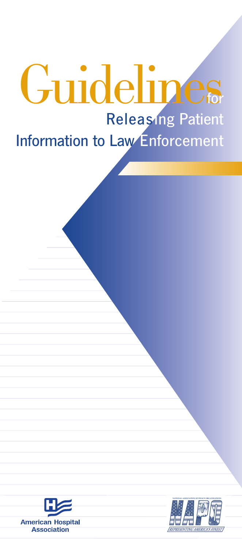## Guidelines **Releasing Patient Information to Law Enforcement**



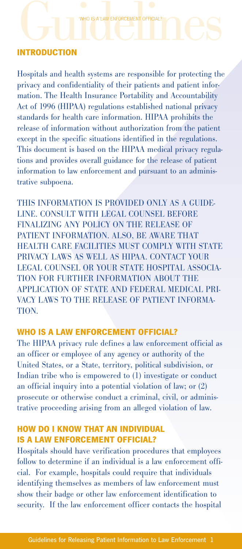### **INTRODUCTION** WHO IS A LAW ENFORCEMENT OFFICIAL?<br>INTRODUCTION

Hospitals and health systems are responsible for protecting the privacy and confidentiality of their patients and patient information. The Health Insurance Portability and Accountability Act of 1996 (HIPAA) regulations established national privacy standards for health care information. HIPAA prohibits the release of information without authorization from the patient except in the specific situations identified in the regulations. This document is based on the HIPAA medical privacy regulations and provides overall guidance for the release of patient information to law enforcement and pursuant to an administrative subpoena.

THIS INFORMATION IS PROVIDED ONLY AS A GUIDE-LINE. CONSULT WITH LEGAL COUNSEL BEFORE FINALIZING ANY POLICY ON THE RELEASE OF PATIENT INFORMATION. ALSO, BE AWARE THAT HEALTH CARE FACILITIES MUST COMPLY WITH STATE PRIVACY LAWS AS WELL AS HIPAA. CONTACT YOUR LEGAL COUNSEL OR YOUR STATE HOSPITAL ASSOCIA-TION FOR FURTHER INFORMATION ABOUT THE APPLICATION OF STATE AND FEDERAL MEDICAL PRI-VACY LAWS TO THE RELEASE OF PATIENT INFORMA-TION.

#### **WHO IS A LAW ENFORCEMENT OFFICIAL?**

The HIPAA privacy rule defines a law enforcement official as an officer or employee of any agency or authority of the United States, or a State, territory, political subdivision, or Indian tribe who is empowered to (1) investigate or conduct an official inquiry into a potential violation of law; or (2) prosecute or otherwise conduct a criminal, civil, or administrative proceeding arising from an alleged violation of law.

#### **HOW DO I KNOW THAT AN INDIVIDUAL IS A LAW ENFORCEMENT OFFICIAL?**

Hospitals should have verification procedures that employees follow to determine if an individual is a law enforcement official. For example, hospitals could require that individuals identifying themselves as members of law enforcement must show their badge or other law enforcement identification to security. If the law enforcement officer contacts the hospital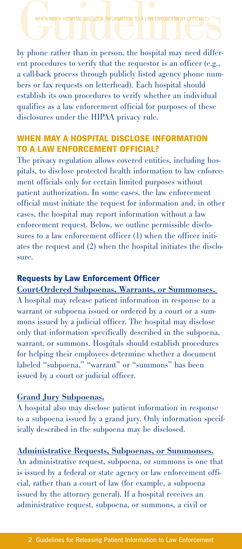WHEN MAY A HOSPITAL DISCLOSE INFORMATION TO A LAW ENFORCEMENT OFFICIAL?<br>by phone rather than in person, the hospital may need different procedures to verify that the requestor is an officer (e.g., a call-back process through publicly listed agency phone numbers or fax requests on letterhead). Each hospital should establish its own procedures to verify whether an individual qualifies as a law enforcement official for purposes of these disclosures under the HIPAA privacy rule.

#### **WHEN MAY A HOSPITAL DISCLOSE INFORMATION TO A LAW ENFORCEMENT OFFICIAL?**

The privacy regulation allows covered entities, including hospitals, to disclose protected health information to law enforcement officials only for certain limited purposes without patient authorization. In some cases, the law enforcement official must initiate the request for information and, in other cases, the hospital may report information without a law enforcement request. Below, we outline permissible disclosures to a law enforcement officer (1) when the officer initiates the request and (2) when the hospital initiates the disclosure.

#### **Requests by Law Enforcement Officer**

Court-Ordered Subpoenas, Warrants, or Summonses. A hospital may release patient information in response to a warrant or subpoena issued or ordered by a court or a summons issued by a judicial officer. The hospital may disclose only that information specifically described in the subpoena, warrant, or summons. Hospitals should establish procedures for helping their employees determine whether a document labeled "subpoena," "warrant" or "summons" has been issued by a court or judicial officer.

#### Grand Jury Subpoenas.

A hospital also may disclose patient information in response to a subpoena issued by a grand jury. Only information specifically described in the subpoena may be disclosed.

#### Administrative Requests, Subpoenas, or Summonses.

An administrative request, subpoena, or summons is one that is issued by a federal or state agency or law enforcement official, rather than a court of law (for example, a subpoena issued by the attorney general). If a hospital receives an administrative request, subpoena, or summons, a civil or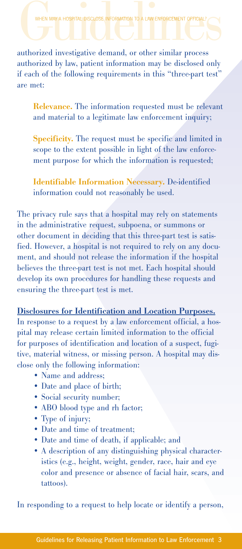WHEN MAY A HOSPITAL DISCLOSE INFORMATION TO A LAW ENFORCEMENT OFFICIAL?<br>
authorized investigative demand, or other similar process authorized by law, patient information may be disclosed only if each of the following requirements in this "three-part test" are met:

Relevance. The information requested must be relevant and material to a legitimate law enforcement inquiry;

Specificity. The request must be specific and limited in scope to the extent possible in light of the law enforcement purpose for which the information is requested;

Identifiable Information Necessary. De-identified information could not reasonably be used.

The privacy rule says that a hospital may rely on statements in the administrative request, subpoena, or summons or other document in deciding that this three-part test is satisfied. However, a hospital is not required to rely on any document, and should not release the information if the hospital believes the three-part test is not met. Each hospital should develop its own procedures for handling these requests and ensuring the three-part test is met.

Disclosures for Identification and Location Purposes.

In response to a request by a law enforcement official, a hospital may release certain limited information to the official for purposes of identification and location of a suspect, fugitive, material witness, or missing person. A hospital may disclose only the following information:

- Name and address;
- Date and place of birth;
- Social security number;
- ABO blood type and rh factor;
- Type of injury;
- Date and time of treatment;
- Date and time of death, if applicable; and
- A description of any distinguishing physical characteristics (e.g., height, weight, gender, race, hair and eye color and presence or absence of facial hair, scars, and tattoos).

In responding to a request to help locate or identify a person,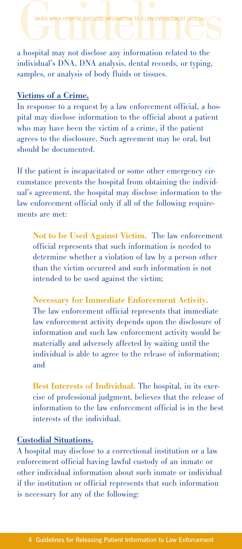WHEN MAY A HOSPITAL DISCLOSE INFORMATION TO A LAW ENFORC

WHEN MAY A HOSPITAL DISCLOSE INFORMATION TO A LAW ENFORCEMENT OFFICIAL?<br>
a hospital may not disclose any information related to the individual's DNA, DNA analysis, dental records, or typing, samples, or analysis of body fluids or tissues.

#### Victims of a Crime.

In response to a request by a law enforcement official, a hospital may disclose information to the official about a patient who may have been the victim of a crime, if the patient agrees to the disclosure. Such agreement may be oral, but should be documented.

If the patient is incapacitated or some other emergency circumstance prevents the hospital from obtaining the individual's agreement, the hospital may disclose information to the law enforcement official only if all of the following requirements are met:

Not to be Used Against Victim. The law enforcement official represents that such information is needed to determine whether a violation of law by a person other than the victim occurred and such information is not intended to be used against the victim;

Necessary for Immediate Enforcement Activity. The law enforcement official represents that immediate law enforcement activity depends upon the disclosure of information and such law enforcement activity would be materially and adversely affected by waiting until the individual is able to agree to the release of information; and

Best Interests of Individual. The hospital, in its exercise of professional judgment, believes that the release of information to the law enforcement official is in the best interests of the individual.

#### Custodial Situations.

A hospital may disclose to a correctional institution or a law enforcement official having lawful custody of an inmate or other individual information about such inmate or individual if the institution or official represents that such information is necessary for any of the following: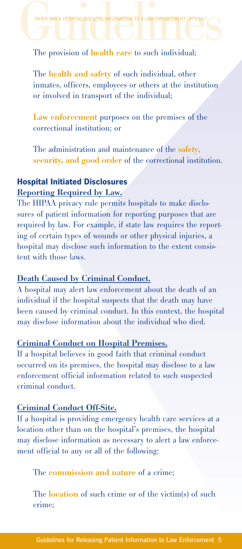# WHEN MAY A HOSPITAL DISCLOSE INFORMATION TO A LAW ENFORCEMENT OFFICIAL?<br>The provision of health care to such individual;

The health and safety of such individual, other inmates, officers, employees or others at the institution or involved in transport of the individual;

Law enforcement purposes on the premises of the correctional institution; or

The administration and maintenance of the safety, security, and good order of the correctional institution.

#### **Hospital Initiated Disclosures**

#### Reporting Required by Law.

The HIPAA privacy rule permits hospitals to make disclosures of patient information for reporting purposes that are required by law. For example, if state law requires the reporting of certain types of wounds or other physical injuries, a hospital may disclose such information to the extent consistent with those laws.

#### Death Caused by Criminal Conduct.

A hospital may alert law enforcement about the death of an individual if the hospital suspects that the death may have been caused by criminal conduct. In this context, the hospital may disclose information about the individual who died.

#### Criminal Conduct on Hospital Premises.

If a hospital believes in good faith that criminal conduct occurred on its premises, the hospital may disclose to a law enforcement official information related to such suspected criminal conduct.

#### Criminal Conduct Off-Site.

If a hospital is providing emergency health care services at a location other than on the hospital's premises, the hospital may disclose information as necessary to alert a law enforcement official to any or all of the following:

The commission and nature of a crime;

The **location** of such crime or of the victim(s) of such crime;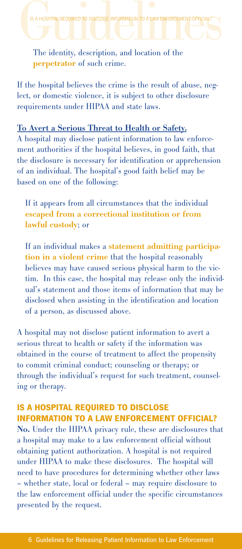perpetrator of such crime.

If the hospital believes the crime is the result of abuse, neglect, or domestic violence, it is subject to other disclosure requirements under HIPAA and state laws.

#### To Avert a Serious Threat to Health or Safety.

A hospital may disclose patient information to law enforcement authorities if the hospital believes, in good faith, that the disclosure is necessary for identification or apprehension of an individual. The hospital's good faith belief may be based on one of the following:

If it appears from all circumstances that the individual escaped from a correctional institution or from lawful custody; or

If an individual makes a statement admitting participation in a violent crime that the hospital reasonably believes may have caused serious physical harm to the victim. In this case, the hospital may release only the individual's statement and those items of information that may be disclosed when assisting in the identification and location of a person, as discussed above.

A hospital may not disclose patient information to avert a serious threat to health or safety if the information was obtained in the course of treatment to affect the propensity to commit criminal conduct; counseling or therapy; or through the individual's request for such treatment, counseling or therapy.

#### **IS A HOSPITAL REQUIRED TO DISCLOSE INFORMATION TO A LAW ENFORCEMENT OFFICIAL?**

No. Under the HIPAA privacy rule, these are disclosures that a hospital may make to a law enforcement official without obtaining patient authorization. A hospital is not required under HIPAA to make these disclosures. The hospital will need to have procedures for determining whether other laws – whether state, local or federal – may require disclosure to the law enforcement official under the specific circumstances presented by the request.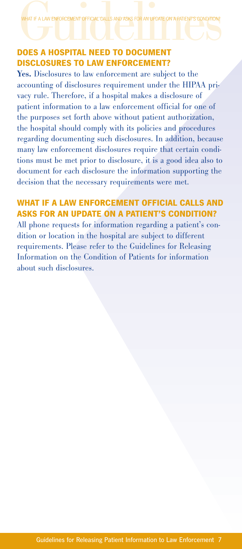WHAT IF A LAW ENFORCEMENT OFFICIAL CALLS AND ASKS FOR AN UPDATE ON A PATIENT'S CONDITION?<br> **DOES A HOSPITAL NEED TO DOCUMENT** 

### **DISCLOSURES TO LAW ENFORCEMENT?**

Yes. Disclosures to law enforcement are subject to the accounting of disclosures requirement under the HIPAA privacy rule. Therefore, if a hospital makes a disclosure of patient information to a law enforcement official for one of the purposes set forth above without patient authorization, the hospital should comply with its policies and procedures regarding documenting such disclosures. In addition, because many law enforcement disclosures require that certain conditions must be met prior to disclosure, it is a good idea also to document for each disclosure the information supporting the decision that the necessary requirements were met.

#### **WHAT IF A LAW ENFORCEMENT OFFICIAL CALLS AND ASKS FOR AN UPDATE ON A PATIENT'S CONDITION?**

All phone requests for information regarding a patient's condition or location in the hospital are subject to different requirements. Please refer to the Guidelines for Releasing Information on the Condition of Patients for information about such disclosures.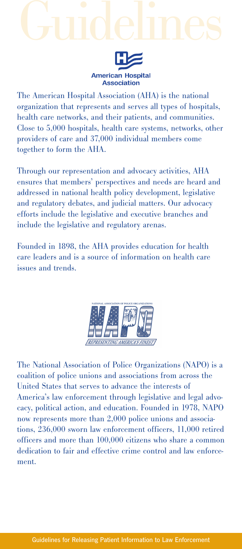## Guidelines



The American Hospital Association (AHA) is the national organization that represents and serves all types of hospitals, health care networks, and their patients, and communities. Close to 5,000 hospitals, health care systems, networks, other providers of care and 37,000 individual members come together to form the AHA.

Through our representation and advocacy activities, AHA ensures that members' perspectives and needs are heard and addressed in national health policy development, legislative and regulatory debates, and judicial matters. Our advocacy efforts include the legislative and executive branches and include the legislative and regulatory arenas.

Founded in 1898, the AHA provides education for health care leaders and is a source of information on health care issues and trends.



The National Association of Police Organizations (NAPO) is a coalition of police unions and associations from across the United States that serves to advance the interests of America's law enforcement through legislative and legal advocacy, political action, and education. Founded in 1978, NAPO now represents more than 2,000 police unions and associations, 236,000 sworn law enforcement officers, 11,000 retired officers and more than 100,000 citizens who share a common dedication to fair and effective crime control and law enforcement.